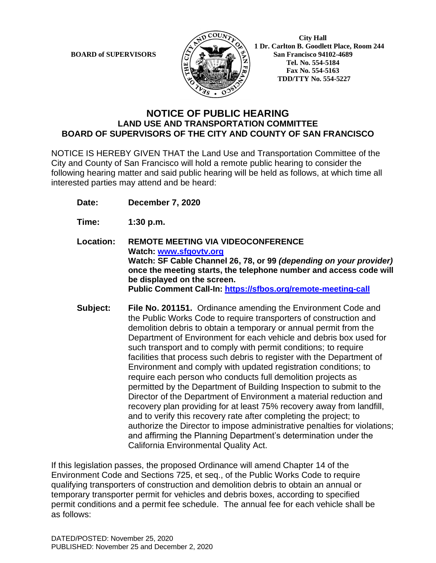

 **1 Dr. Carlton B. Goodlett Place, Room 244 BOARD of SUPERVISORS**  $\left(\frac{S}{I}\right)$   $\oplus$   $\left(\frac{S}{I}\right)$  San Francisco 94102-4689  **Tel. No. 554-5184 Fax No. 554-5163 TDD/TTY No. 554-5227**

#### **NOTICE OF PUBLIC HEARING LAND USE AND TRANSPORTATION COMMITTEE BOARD OF SUPERVISORS OF THE CITY AND COUNTY OF SAN FRANCISCO**

NOTICE IS HEREBY GIVEN THAT the Land Use and Transportation Committee of the City and County of San Francisco will hold a remote public hearing to consider the following hearing matter and said public hearing will be held as follows, at which time all interested parties may attend and be heard:

**Date: December 7, 2020**

**Time: 1:30 p.m.**

**Location: REMOTE MEETING VIA VIDEOCONFERENCE Watch: www.sfgovtv.org Watch: SF Cable Channel 26, 78, or 99** *(depending on your provider)*  **once the meeting starts, the telephone number and access code will be displayed on the screen. Public Comment Call-In: https://sfbos.org/remote-meeting-call**

**Subject: File No. 201151.** Ordinance amending the Environment Code and the Public Works Code to require transporters of construction and demolition debris to obtain a temporary or annual permit from the Department of Environment for each vehicle and debris box used for such transport and to comply with permit conditions; to require facilities that process such debris to register with the Department of Environment and comply with updated registration conditions; to require each person who conducts full demolition projects as permitted by the Department of Building Inspection to submit to the Director of the Department of Environment a material reduction and recovery plan providing for at least 75% recovery away from landfill, and to verify this recovery rate after completing the project; to authorize the Director to impose administrative penalties for violations; and affirming the Planning Department's determination under the California Environmental Quality Act.

If this legislation passes, the proposed Ordinance will amend Chapter 14 of the Environment Code and Sections 725, et seq., of the Public Works Code to require qualifying transporters of construction and demolition debris to obtain an annual or temporary transporter permit for vehicles and debris boxes, according to specified permit conditions and a permit fee schedule. The annual fee for each vehicle shall be as follows: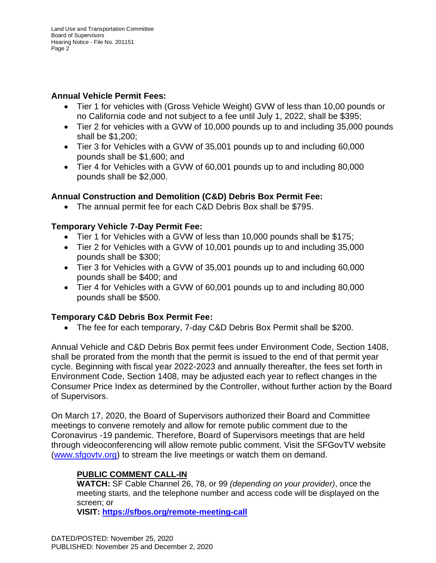#### **Annual Vehicle Permit Fees:**

- Tier 1 for vehicles with (Gross Vehicle Weight) GVW of less than 10,00 pounds or no California code and not subject to a fee until July 1, 2022, shall be \$395;
- Tier 2 for vehicles with a GVW of 10,000 pounds up to and including 35,000 pounds shall be \$1,200;
- Tier 3 for Vehicles with a GVW of 35,001 pounds up to and including 60,000 pounds shall be \$1,600; and
- Tier 4 for Vehicles with a GVW of 60,001 pounds up to and including 80,000 pounds shall be \$2,000.

## **Annual Construction and Demolition (C&D) Debris Box Permit Fee:**

• The annual permit fee for each C&D Debris Box shall be \$795.

## **Temporary Vehicle 7-Day Permit Fee:**

- Tier 1 for Vehicles with a GVW of less than 10,000 pounds shall be \$175;
- Tier 2 for Vehicles with a GVW of 10,001 pounds up to and including 35,000 pounds shall be \$300;
- Tier 3 for Vehicles with a GVW of 35,001 pounds up to and including 60,000 pounds shall be \$400; and
- Tier 4 for Vehicles with a GVW of 60,001 pounds up to and including 80,000 pounds shall be \$500.

## **Temporary C&D Debris Box Permit Fee:**

• The fee for each temporary, 7-day C&D Debris Box Permit shall be \$200.

Annual Vehicle and C&D Debris Box permit fees under Environment Code, Section 1408, shall be prorated from the month that the permit is issued to the end of that permit year cycle. Beginning with fiscal year 2022-2023 and annually thereafter, the fees set forth in Environment Code, Section 1408, may be adjusted each year to reflect changes in the Consumer Price Index as determined by the Controller, without further action by the Board of Supervisors.

On March 17, 2020, the Board of Supervisors authorized their Board and Committee meetings to convene remotely and allow for remote public comment due to the Coronavirus -19 pandemic. Therefore, Board of Supervisors meetings that are held through videoconferencing will allow remote public comment. Visit the SFGovTV website (www.sfgovtv.org) to stream the live meetings or watch them on demand.

## **PUBLIC COMMENT CALL-IN**

**WATCH:** SF Cable Channel 26, 78, or 99 *(depending on your provider)*, once the meeting starts, and the telephone number and access code will be displayed on the screen; or

**VISIT: https://sfbos.org/remote-meeting-call**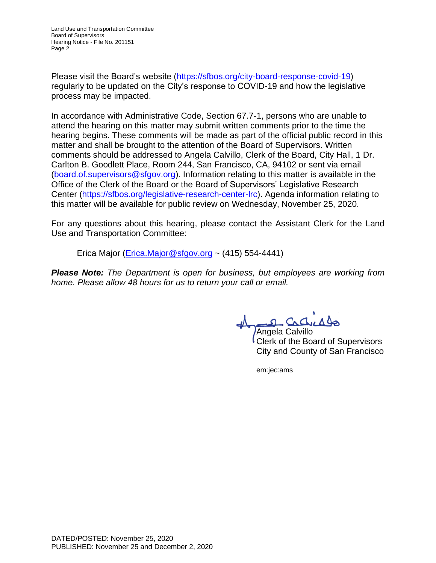Please visit the Board's website (https://sfbos.org/city-board-response-covid-19) regularly to be updated on the City's response to COVID-19 and how the legislative process may be impacted.

In accordance with Administrative Code, Section 67.7-1, persons who are unable to attend the hearing on this matter may submit written comments prior to the time the hearing begins. These comments will be made as part of the official public record in this matter and shall be brought to the attention of the Board of Supervisors. Written comments should be addressed to Angela Calvillo, Clerk of the Board, City Hall, 1 Dr. Carlton B. Goodlett Place, Room 244, San Francisco, CA, 94102 or sent via email (board.of.supervisors@sfgov.org). Information relating to this matter is available in the Office of the Clerk of the Board or the Board of Supervisors' Legislative Research Center (https://sfbos.org/legislative-research-center-lrc). Agenda information relating to this matter will be available for public review on Wednesday, November 25, 2020.

For any questions about this hearing, please contact the Assistant Clerk for the Land Use and Transportation Committee:

Erica Major (Erica.Major@sfgov.org ~  $(415)$  554-4441)

*Please Note: The Department is open for business, but employees are working from home. Please allow 48 hours for us to return your call or email.*

 $\Omega$ 

Angela Calvillo Clerk of the Board of Supervisors City and County of San Francisco

em:jec:ams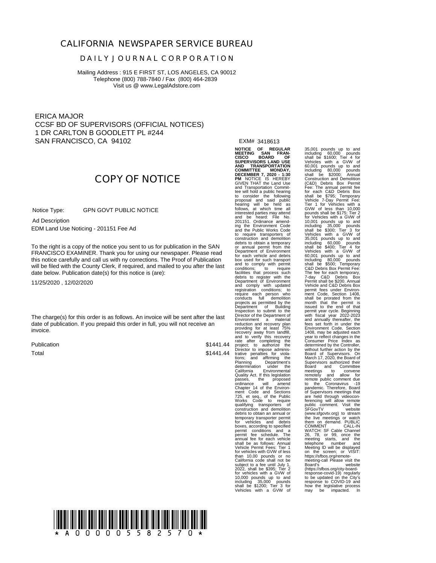#### **CALIFORNIA NEWSPAPER SERVICE BUREAU**

#### **D A I L Y J O U R N A L C O R P O R A T I O N**

Mailing Address : 915 E FIRST ST, LOS ANGELES, CA 90012 Telephone (800) 788-7840 / Fax (800) 464-2839 Visit us @ www.LegalAdstore.com

ERICA MAJOR CCSF BD OF SUPERVISORS (OFFICIAL NOTICES) 1 DR CARLTON B GOODLETT PL #244 SAN FRANCISCO, CA 94102

# **COPY OF NOTICE**

 GPN GOVT PUBLIC NOTICE Notice Type:

 EDM Land Use Noticing - 201151 Fee Ad Ad Description

FRANCISCO EXAMINER. Thank you for using our newspaper. Please read<br>this notice carefully and call us with ny corrections. The Proof of Publication To the right is a copy of the notice you sent to us for publication in the SAN FRANCISCO EXAMINER. Thank you for using our newspaper. Please read will be filed with the County Clerk, if required, and mailed to you after the last date below. Publication date(s) for this notice is (are):

11/25/2020 , 12/02/2020

The charge(s) for this order is as follows. An invoice will be sent after the last date of publication. If you prepaid this order in full, you will not receive an invoice.

Publication Total

\$1441.44

EXM# 3418613

\$1441.44 Director to impose administrative penalties for viola-<br>tions; and affirming the<br>Planning Department's<br>determination under the<br>California Environmental **NOTICE OF REGULAR MEETING SAN FRAN-**CISCO BOARD<br>SUPERVISORS LAND USE<br>AND TRANSPORTATION<br>COMMITTEE MONDAY,<br>DECEMBER 7, 2020 - 1:30<br>PM NOTICE IS HEREBY<br>GIVEN THAT the Land Use and Transportation Commit-tee will hold a public hearing to consider the following proposal and said public hearing will be held as follows, at which time all interested parties may attend and be heard: File No. 201151. Ordinance amend-ing the Environment Code and the Public Works Code to require transporters of construction and demolition debris to obtain a temporary or annual permit from the Department of Environment for each vehicle and debris box used for such transport and to comply with permit conditions; to require facilities that process such debris to register with the<br>Department of Environment<br>and comply with updated<br>registration conditions; to<br>require each person who<br>conducts full demolition<br>Diejocts as permitted by the<br>Department of Building<br>Director of the Director of the Department of<br>Environment a material<br>Environment a material<br>reduction and recovery plan<br>recovery away from landfill,<br>and to verify this recovery and the reader recovery and the<br>rate after completing the<br>pro permit conditions and a<br>permit fee schedule. The permit fee schedule. The annual fee for each vehicle shall be as follows: Annual Vehicle Permit Fees: Tier 1 for vehicles with GVW of less than 10,00 pounds or no California code shall not be subject to a fee until July 1,<br>2022, shall be \$395; Tier 2 2022, shall be \$395; Tier 2 for vehicles with a GVW of 10,000 pounds up to and including 35,000 pounds shall be \$1200; Tier 3 for Vehicles with a GVW of

35,001 pounds up to and<br>including 60,000 pounds<br>Vehicles with a GVW of<br>60,001 pounds up to and<br>including 80,000 pounds<br>including 80,000 pounds<br>Shall be \$2000; Annual<br>Construction and Demolition (C&D) Debris Box Permit Fee: The annual permit fee for each C&D Debris Box shall be \$795; Temporary Vehicle 7-Day Permit Fee: Tier 1 for Vehicles with a GVW of less than 10,000 pounds shall be \$175; Tier 2<br>for Vehicles with a GWV of<br>including 35,000 pounds<br>shall be \$300; Tier 3 for<br>shall be \$300; Tier 3 for<br>Vehicles with a GVW of<br>35,001 pounds up to and<br>including 60,000 pounds<br>Vehicles with a GWV 7-day C&D Debris Box Permit shall be \$200. Annual Vehicle and C&D Debris Box permit fees under Environ-ment Code, Section 1408, shall be prorated from the month that the permit is issued to the end of that permit year cycle. Beginning with fiscal year 2022-2023 Fest set form in under the<br>Environment Code, Section<br>1408, may be adjusted each<br>vear to reflect changes in the<br>Consumer Price Index as<br>determined by the Controller,<br>Board of Supervisors. On<br>Board of Supervisors of Supervis COMMENT CALL-IN<br>WATCH: SF Cable Channel<br>26, 78, or 99, once the<br>meeting starts, and the<br>telephone number and<br>Meeting ID will be displayed<br>Meeting-Call Pease visities://sfbos.org/remote-<br>meeting-call Please visities<br>meeting (https://sfbos.org/city-board-response-covid-19) regularly to be updated on the City's response to COVID-19 and how the legislative process may be impacted. In